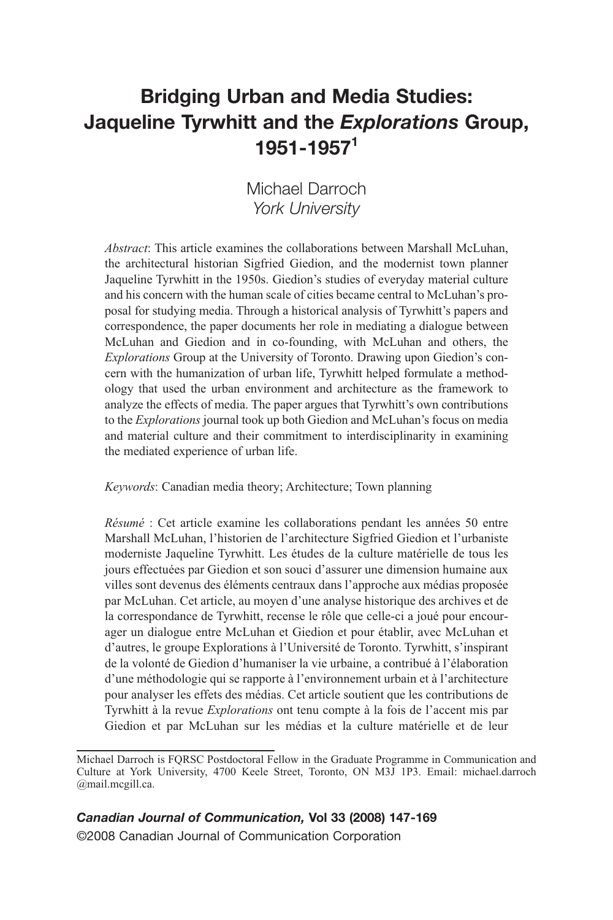# **Bridging Urban and Media Studies: Jaqueline Tyrwhitt and the** *Explorations* **Group, 1951-19571**

Michael Darroch *York University*

*Abstract*: This article examines the collaborations between Marshall McLuhan, the architectural historian Sigfried Giedion, and the modernist town planner Jaqueline Tyrwhitt in the 1950s. Giedion's studies of everyday material culture and his concern with the human scale of cities became central to McLuhan's proposal for studying media. Through a historical analysis of Tyrwhitt's papers and correspondence, the paper documents her role in mediating a dialogue between McLuhan and Giedion and in co-founding, with McLuhan and others, the *Explorations* Group at the University of Toronto. Drawing upon Giedion's concern with the humanization of urban life, Tyrwhitt helped formulate a methodology that used the urban environment and architecture as the framework to analyze the effects of media. The paper argues that Tyrwhitt's own contributions to the *Explorations* journal took up both Giedion and McLuhan's focus on media and material culture and their commitment to interdisciplinarity in examining the mediated experience of urban life.

*Keywords*: Canadian media theory; Architecture; Town planning

*Résumé* : Cet article examine les collaborations pendant les années 50 entre Marshall McLuhan, l'historien de l'architecture Sigfried Giedion et l'urbaniste moderniste Jaqueline Tyrwhitt. Les études de la culture matérielle de tous les jours effectuées par Giedion et son souci d'assurer une dimension humaine aux villes sont devenus des éléments centraux dans l'approche aux médias proposée par McLuhan. Cet article, au moyen d'une analyse historique des archives et de la correspondance de Tyrwhitt, recense le rôle que celle-ci a joué pour encourager un dialogue entre McLuhan et Giedion et pour établir, avec McLuhan et d'autres, le groupe Explorations à l'Université de Toronto. Tyrwhitt, s'inspirant de la volonté de Giedion d'humaniser la vie urbaine, a contribué à l'élaboration d'une méthodologie qui se rapporte à l'environnement urbain et à l'architecture pour analyser les effets des médias. Cet article soutient que les contributions de Tyrwhitt à la revue *Explorations* ont tenu compte à la fois de l'accent mis par Giedion et par McLuhan sur les médias et la culture matérielle et de leur

## *Canadian Journal of Communication,* **Vol 33 (2008) 147-169**

©2008 Canadian Journal of Communication Corporation

Michael Darroch is FQRSC Postdoctoral Fellow in the Graduate Programme in Communication and Culture at York University, 4700 Keele Street, Toronto, ON M3J 1P3. Email: michael.darroch @mail.mcgill.ca.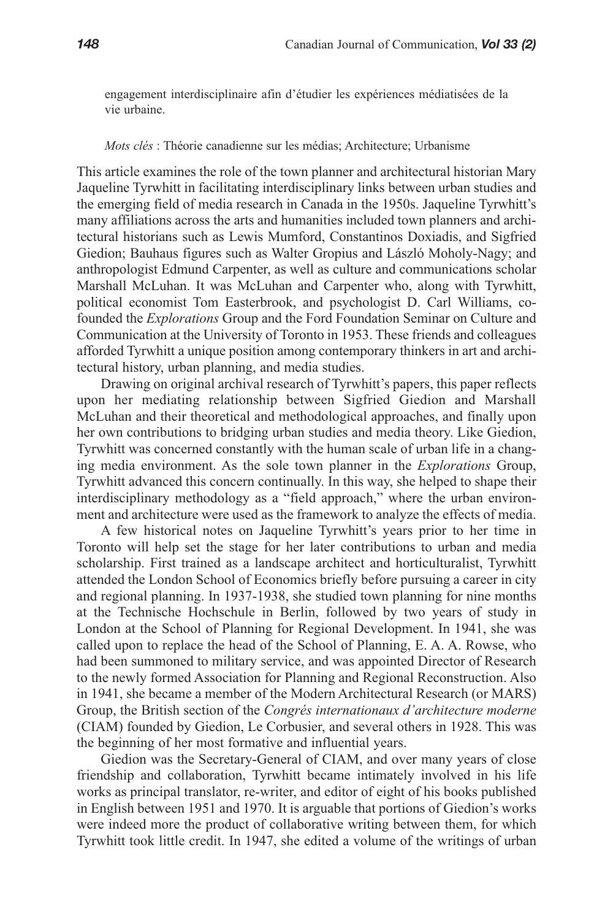engagement interdisciplinaire afin d'étudier les expériences médiatisées de la vie urbaine.

#### *Mots clés* : Théorie canadienne sur les médias; Architecture; Urbanisme

This article examines the role of the town planner and architectural historian Mary Jaqueline Tyrwhitt in facilitating interdisciplinary links between urban studies and the emerging field of media research in Canada in the 1950s. Jaqueline Tyrwhitt's many affiliations across the arts and humanities included town planners and architectural historians such as Lewis Mumford, Constantinos Doxiadis, and Sigfried Giedion; Bauhaus figures such as Walter Gropius and László Moholy-Nagy; and anthropologist Edmund Carpenter, as well as culture and communications scholar Marshall McLuhan. It was McLuhan and Carpenter who, along with Tyrwhitt, political economist Tom Easterbrook, and psychologist D. Carl Williams, cofounded the *Explorations* Group and the Ford Foundation Seminar on Culture and Communication at the University of Toronto in 1953. These friends and colleagues afforded Tyrwhitt a unique position among contemporary thinkers in art and architectural history, urban planning, and media studies.

Drawing on original archival research of Tyrwhitt's papers, this paper reflects upon her mediating relationship between Sigfried Giedion and Marshall McLuhan and their theoretical and methodological approaches, and finally upon her own contributions to bridging urban studies and media theory. Like Giedion, Tyrwhitt was concerned constantly with the human scale of urban life in a changing media environment. As the sole town planner in the *Explorations* Group, Tyrwhitt advanced this concern continually. In this way, she helped to shape their interdisciplinary methodology as a "field approach," where the urban environment and architecture were used as the framework to analyze the effects of media.

A few historical notes on Jaqueline Tyrwhitt's years prior to her time in Toronto will help set the stage for her later contributions to urban and media scholarship. First trained as a landscape architect and horticulturalist, Tyrwhitt attended the London School of Economics briefly before pursuing a career in city and regional planning. In 1937-1938, she studied town planning for nine months at the Technische Hochschule in Berlin, followed by two years of study in London at the School of Planning for Regional Development. In 1941, she was called upon to replace the head of the School of Planning, E. A. A. Rowse, who had been summoned to military service, and was appointed Director of Research to the newly formed Association for Planning and Regional Reconstruction. Also in 1941, she became a member of the Modern Architectural Research (or MARS) Group, the British section of the *Congrés internationaux d'architecture moderne* (CIAM) founded by Giedion, Le Corbusier, and several others in 1928. This was the beginning of her most formative and influential years.

Giedion was the Secretary-General of CIAM, and over many years of close friendship and collaboration, Tyrwhitt became intimately involved in his life works as principal translator, re-writer, and editor of eight of his books published in English between 1951 and 1970. It is arguable that portions of Giedion's works were indeed more the product of collaborative writing between them, for which Tyrwhitt took little credit. In 1947, she edited a volume of the writings of urban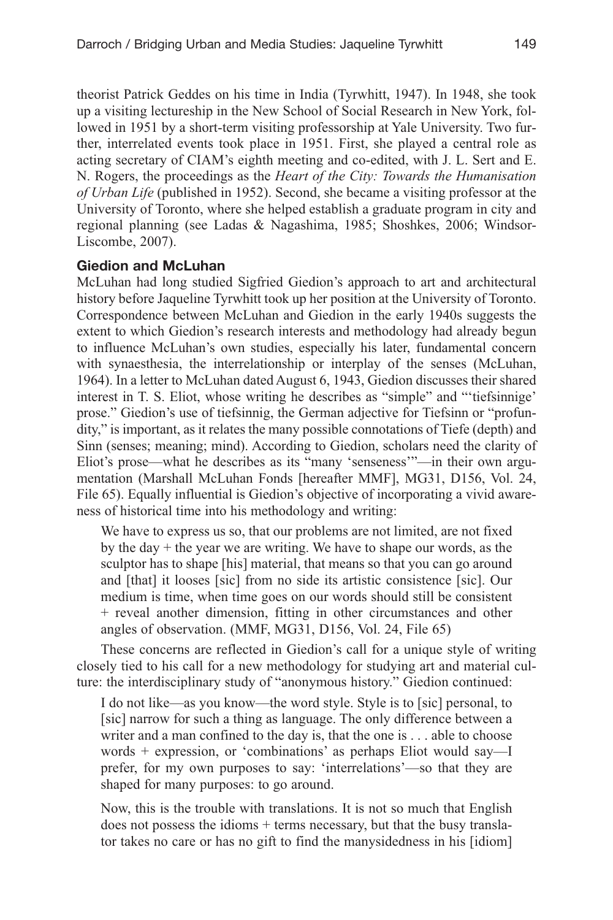theorist Patrick Geddes on his time in India (Tyrwhitt, 1947). In 1948, she took up a visiting lectureship in the New School of Social Research in New York, followed in 1951 by a short-term visiting professorship at Yale University. Two further, interrelated events took place in 1951. First, she played a central role as acting secretary of CIAM's eighth meeting and co-edited, with J. L. Sert and E. N. Rogers, the proceedings as the *Heart of the City: Towards the Humanisation of Urban Life* (published in 1952). Second, she became a visiting professor at the University of Toronto, where she helped establish a graduate program in city and regional planning (see Ladas & Nagashima, 1985; Shoshkes, 2006; Windsor-Liscombe, 2007).

## **Giedion and McLuhan**

McLuhan had long studied Sigfried Giedion's approach to art and architectural history before Jaqueline Tyrwhitt took up her position at the University of Toronto. Correspondence between McLuhan and Giedion in the early 1940s suggests the extent to which Giedion's research interests and methodology had already begun to influence McLuhan's own studies, especially his later, fundamental concern with synaesthesia, the interrelationship or interplay of the senses (McLuhan, 1964). In a letter to McLuhan dated August 6, 1943, Giedion discusses their shared interest in T. S. Eliot, whose writing he describes as "simple" and "'tiefsinnige' prose." Giedion's use of tiefsinnig, the German adjective for Tiefsinn or "profundity," is important, as it relates the many possible connotations of Tiefe (depth) and Sinn (senses; meaning; mind). According to Giedion, scholars need the clarity of Eliot's prose—what he describes as its "many 'senseness'"—in their own argumentation (Marshall McLuhan Fonds [hereafter MMF], MG31, D156, Vol. 24, File 65). Equally influential is Giedion's objective of incorporating a vivid awareness of historical time into his methodology and writing:

We have to express us so, that our problems are not limited, are not fixed by the day + the year we are writing. We have to shape our words, as the sculptor has to shape [his] material, that means so that you can go around and [that] it looses [sic] from no side its artistic consistence [sic]. Our medium is time, when time goes on our words should still be consistent + reveal another dimension, fitting in other circumstances and other angles of observation. (MMF, MG31, D156, Vol. 24, File 65)

These concerns are reflected in Giedion's call for a unique style of writing closely tied to his call for a new methodology for studying art and material culture: the interdisciplinary study of "anonymous history." Giedion continued:

I do not like—as you know—the word style. Style is to [sic] personal, to [sic] narrow for such a thing as language. The only difference between a writer and a man confined to the day is, that the one is . . . able to choose words + expression, or 'combinations' as perhaps Eliot would say—I prefer, for my own purposes to say: 'interrelations'—so that they are shaped for many purposes: to go around.

Now, this is the trouble with translations. It is not so much that English does not possess the idioms + terms necessary, but that the busy translator takes no care or has no gift to find the manysidedness in his [idiom]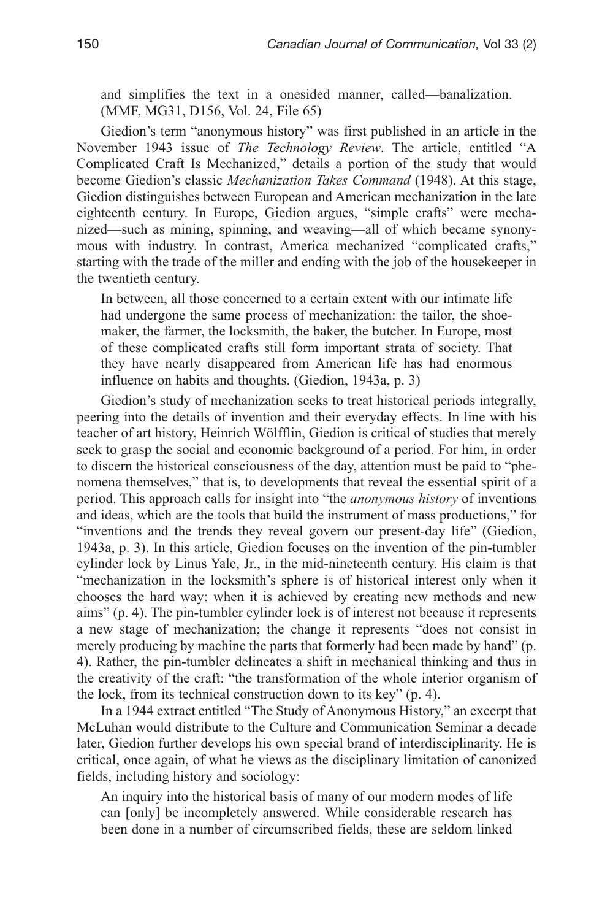and simplifies the text in a onesided manner, called—banalization. (MMF, MG31, D156, Vol. 24, File 65)

Giedion's term "anonymous history" was first published in an article in the November 1943 issue of *The Technology Review*. The article, entitled "A Complicated Craft Is Mechanized," details a portion of the study that would become Giedion's classic *Mechanization Takes Command* (1948). At this stage, Giedion distinguishes between European and American mechanization in the late eighteenth century. In Europe, Giedion argues, "simple crafts" were mechanized—such as mining, spinning, and weaving—all of which became synonymous with industry. In contrast, America mechanized "complicated crafts," starting with the trade of the miller and ending with the job of the housekeeper in the twentieth century.

In between, all those concerned to a certain extent with our intimate life had undergone the same process of mechanization: the tailor, the shoemaker, the farmer, the locksmith, the baker, the butcher. In Europe, most of these complicated crafts still form important strata of society. That they have nearly disappeared from American life has had enormous influence on habits and thoughts. (Giedion, 1943a, p. 3)

Giedion's study of mechanization seeks to treat historical periods integrally, peering into the details of invention and their everyday effects. In line with his teacher of art history, Heinrich Wölfflin, Giedion is critical of studies that merely seek to grasp the social and economic background of a period. For him, in order to discern the historical consciousness of the day, attention must be paid to "phenomena themselves," that is, to developments that reveal the essential spirit of a period. This approach calls for insight into "the *anonymous history* of inventions and ideas, which are the tools that build the instrument of mass productions," for "inventions and the trends they reveal govern our present-day life" (Giedion, 1943a, p. 3). In this article, Giedion focuses on the invention of the pin-tumbler cylinder lock by Linus Yale, Jr., in the mid-nineteenth century. His claim is that "mechanization in the locksmith's sphere is of historical interest only when it chooses the hard way: when it is achieved by creating new methods and new aims" (p. 4). The pin-tumbler cylinder lock is of interest not because it represents a new stage of mechanization; the change it represents "does not consist in merely producing by machine the parts that formerly had been made by hand" (p. 4). Rather, the pin-tumbler delineates a shift in mechanical thinking and thus in the creativity of the craft: "the transformation of the whole interior organism of the lock, from its technical construction down to its key" (p. 4).

In a 1944 extract entitled "The Study of Anonymous History," an excerpt that McLuhan would distribute to the Culture and Communication Seminar a decade later, Giedion further develops his own special brand of interdisciplinarity. He is critical, once again, of what he views as the disciplinary limitation of canonized fields, including history and sociology:

An inquiry into the historical basis of many of our modern modes of life can [only] be incompletely answered. While considerable research has been done in a number of circumscribed fields, these are seldom linked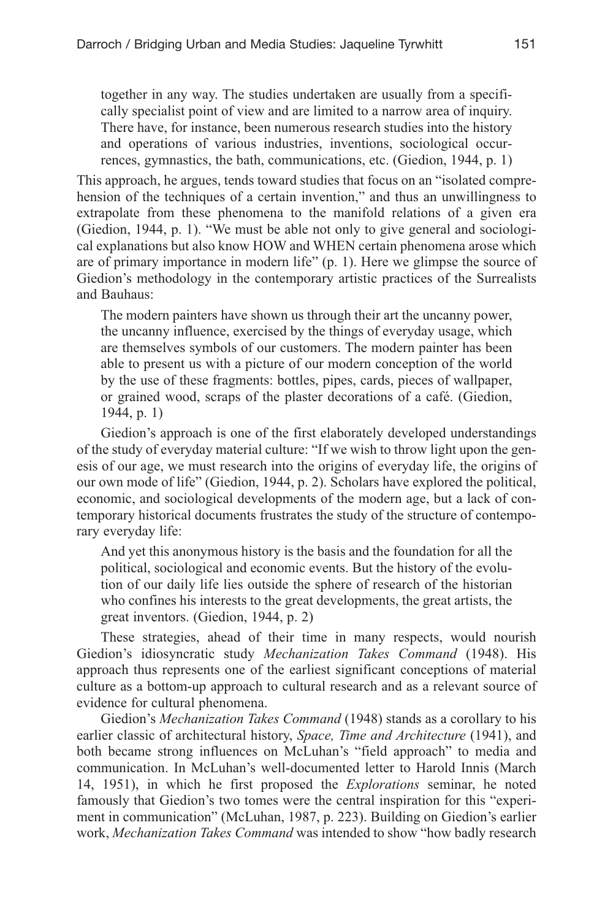together in any way. The studies undertaken are usually from a specifically specialist point of view and are limited to a narrow area of inquiry. There have, for instance, been numerous research studies into the history and operations of various industries, inventions, sociological occurrences, gymnastics, the bath, communications, etc. (Giedion, 1944, p. 1)

This approach, he argues, tends toward studies that focus on an "isolated comprehension of the techniques of a certain invention," and thus an unwillingness to extrapolate from these phenomena to the manifold relations of a given era (Giedion, 1944, p. 1). "We must be able not only to give general and sociological explanations but also know HOW and WHEN certain phenomena arose which are of primary importance in modern life" (p. 1). Here we glimpse the source of Giedion's methodology in the contemporary artistic practices of the Surrealists and Bauhaus:

The modern painters have shown us through their art the uncanny power, the uncanny influence, exercised by the things of everyday usage, which are themselves symbols of our customers. The modern painter has been able to present us with a picture of our modern conception of the world by the use of these fragments: bottles, pipes, cards, pieces of wallpaper, or grained wood, scraps of the plaster decorations of a café. (Giedion, 1944, p. 1)

Giedion's approach is one of the first elaborately developed understandings of the study of everyday material culture: "If we wish to throw light upon the genesis of our age, we must research into the origins of everyday life, the origins of our own mode of life" (Giedion, 1944, p. 2). Scholars have explored the political, economic, and sociological developments of the modern age, but a lack of contemporary historical documents frustrates the study of the structure of contemporary everyday life:

And yet this anonymous history is the basis and the foundation for all the political, sociological and economic events. But the history of the evolution of our daily life lies outside the sphere of research of the historian who confines his interests to the great developments, the great artists, the great inventors. (Giedion, 1944, p. 2)

These strategies, ahead of their time in many respects, would nourish Giedion's idiosyncratic study *Mechanization Takes Command* (1948). His approach thus represents one of the earliest significant conceptions of material culture as a bottom-up approach to cultural research and as a relevant source of evidence for cultural phenomena.

Giedion's *Mechanization Takes Command* (1948) stands as a corollary to his earlier classic of architectural history, *Space, Time and Architecture* (1941), and both became strong influences on McLuhan's "field approach" to media and communication. In McLuhan's well-documented letter to Harold Innis (March 14, 1951), in which he first proposed the *Explorations* seminar, he noted famously that Giedion's two tomes were the central inspiration for this "experiment in communication" (McLuhan, 1987, p. 223). Building on Giedion's earlier work, *Mechanization Takes Command* was intended to show "how badly research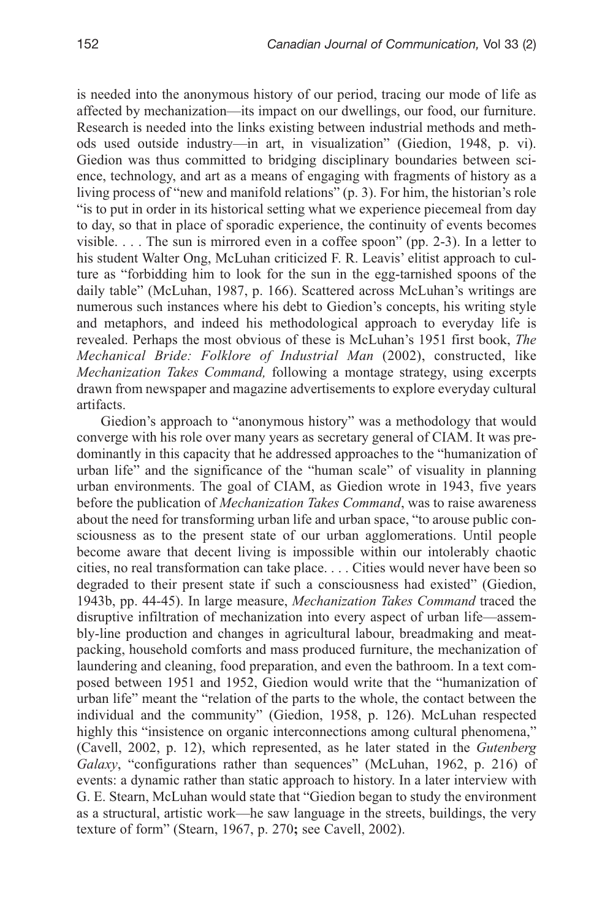is needed into the anonymous history of our period, tracing our mode of life as affected by mechanization—its impact on our dwellings, our food, our furniture. Research is needed into the links existing between industrial methods and methods used outside industry—in art, in visualization" (Giedion, 1948, p. vi). Giedion was thus committed to bridging disciplinary boundaries between science, technology, and art as a means of engaging with fragments of history as a living process of "new and manifold relations" (p. 3). For him, the historian's role "is to put in order in its historical setting what we experience piecemeal from day to day, so that in place of sporadic experience, the continuity of events becomes visible. . . . The sun is mirrored even in a coffee spoon" (pp. 2-3). In a letter to his student Walter Ong, McLuhan criticized F. R. Leavis' elitist approach to culture as "forbidding him to look for the sun in the egg-tarnished spoons of the daily table" (McLuhan, 1987, p. 166). Scattered across McLuhan's writings are numerous such instances where his debt to Giedion's concepts, his writing style and metaphors, and indeed his methodological approach to everyday life is revealed. Perhaps the most obvious of these is McLuhan's 1951 first book, *The Mechanical Bride: Folklore of Industrial Man* (2002), constructed, like *Mechanization Takes Command,* following a montage strategy, using excerpts drawn from newspaper and magazine advertisements to explore everyday cultural artifacts.

Giedion's approach to "anonymous history" was a methodology that would converge with his role over many years as secretary general of CIAM. It was predominantly in this capacity that he addressed approaches to the "humanization of urban life" and the significance of the "human scale" of visuality in planning urban environments. The goal of CIAM, as Giedion wrote in 1943, five years before the publication of *Mechanization Takes Command*, was to raise awareness about the need for transforming urban life and urban space, "to arouse public consciousness as to the present state of our urban agglomerations. Until people become aware that decent living is impossible within our intolerably chaotic cities, no real transformation can take place. . . . Cities would never have been so degraded to their present state if such a consciousness had existed" (Giedion, 1943b, pp. 44-45). In large measure, *Mechanization Takes Command* traced the disruptive infiltration of mechanization into every aspect of urban life—assembly-line production and changes in agricultural labour, breadmaking and meatpacking, household comforts and mass produced furniture, the mechanization of laundering and cleaning, food preparation, and even the bathroom. In a text composed between 1951 and 1952, Giedion would write that the "humanization of urban life" meant the "relation of the parts to the whole, the contact between the individual and the community" (Giedion, 1958, p. 126). McLuhan respected highly this "insistence on organic interconnections among cultural phenomena," (Cavell, 2002, p. 12), which represented, as he later stated in the *Gutenberg Galaxy*, "configurations rather than sequences" (McLuhan, 1962, p. 216) of events: a dynamic rather than static approach to history. In a later interview with G. E. Stearn, McLuhan would state that "Giedion began to study the environment as a structural, artistic work—he saw language in the streets, buildings, the very texture of form" (Stearn, 1967, p. 270**;** see Cavell, 2002).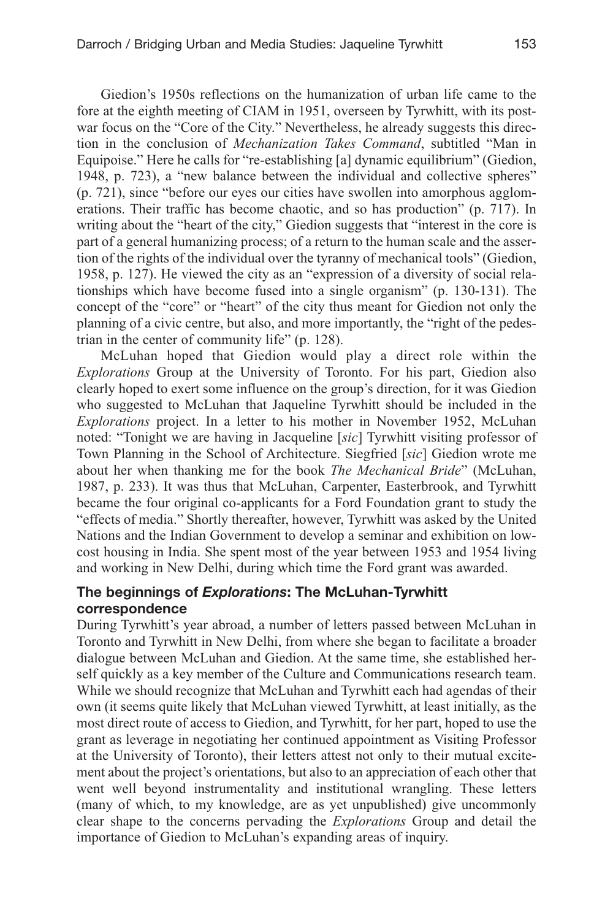Giedion's 1950s reflections on the humanization of urban life came to the fore at the eighth meeting of CIAM in 1951, overseen by Tyrwhitt, with its postwar focus on the "Core of the City." Nevertheless, he already suggests this direction in the conclusion of *Mechanization Takes Command*, subtitled "Man in Equipoise." Here he calls for "re-establishing [a] dynamic equilibrium" (Giedion, 1948, p. 723), a "new balance between the individual and collective spheres" (p. 721), since "before our eyes our cities have swollen into amorphous agglomerations. Their traffic has become chaotic, and so has production" (p. 717). In writing about the "heart of the city," Giedion suggests that "interest in the core is part of a general humanizing process; of a return to the human scale and the assertion of the rights of the individual over the tyranny of mechanical tools" (Giedion, 1958, p. 127). He viewed the city as an "expression of a diversity of social relationships which have become fused into a single organism" (p. 130-131). The concept of the "core" or "heart" of the city thus meant for Giedion not only the planning of a civic centre, but also, and more importantly, the "right of the pedestrian in the center of community life" (p. 128).

McLuhan hoped that Giedion would play a direct role within the *Explorations* Group at the University of Toronto. For his part, Giedion also clearly hoped to exert some influence on the group's direction, for it was Giedion who suggested to McLuhan that Jaqueline Tyrwhitt should be included in the *Explorations* project. In a letter to his mother in November 1952, McLuhan noted: "Tonight we are having in Jacqueline [*sic*] Tyrwhitt visiting professor of Town Planning in the School of Architecture. Siegfried [*sic*] Giedion wrote me about her when thanking me for the book *The Mechanical Bride*" (McLuhan, 1987, p. 233). It was thus that McLuhan, Carpenter, Easterbrook, and Tyrwhitt became the four original co-applicants for a Ford Foundation grant to study the "effects of media." Shortly thereafter, however, Tyrwhitt was asked by the United Nations and the Indian Government to develop a seminar and exhibition on lowcost housing in India. She spent most of the year between 1953 and 1954 living and working in New Delhi, during which time the Ford grant was awarded.

## **The beginnings of** *Explorations***: The McLuhan-Tyrwhitt correspondence**

During Tyrwhitt's year abroad, a number of letters passed between McLuhan in Toronto and Tyrwhitt in New Delhi, from where she began to facilitate a broader dialogue between McLuhan and Giedion. At the same time, she established herself quickly as a key member of the Culture and Communications research team. While we should recognize that McLuhan and Tyrwhitt each had agendas of their own (it seems quite likely that McLuhan viewed Tyrwhitt, at least initially, as the most direct route of access to Giedion, and Tyrwhitt, for her part, hoped to use the grant as leverage in negotiating her continued appointment as Visiting Professor at the University of Toronto), their letters attest not only to their mutual excitement about the project's orientations, but also to an appreciation of each other that went well beyond instrumentality and institutional wrangling. These letters (many of which, to my knowledge, are as yet unpublished) give uncommonly clear shape to the concerns pervading the *Explorations* Group and detail the importance of Giedion to McLuhan's expanding areas of inquiry.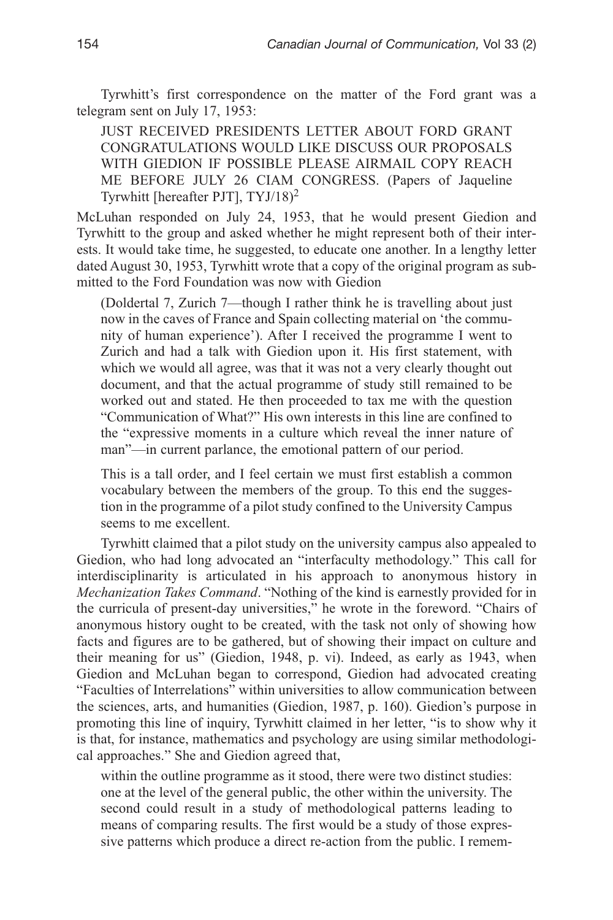Tyrwhitt's first correspondence on the matter of the Ford grant was a telegram sent on July 17, 1953:

JUST RECEIVED PRESIDENTS LETTER ABOUT FORD GRANT CONGRATULATIONS WOULD LIKE DISCUSS OUR PROPOSALS WITH GIEDION IF POSSIBLE PLEASE AIRMAIL COPY REACH ME BEFORE JULY 26 CIAM CONGRESS. (Papers of Jaqueline Tyrwhitt [hereafter PJT], TYJ/18)<sup>2</sup>

McLuhan responded on July 24, 1953, that he would present Giedion and Tyrwhitt to the group and asked whether he might represent both of their interests. It would take time, he suggested, to educate one another. In a lengthy letter dated August 30, 1953, Tyrwhitt wrote that a copy of the original program as submitted to the Ford Foundation was now with Giedion

(Doldertal 7, Zurich 7—though I rather think he is travelling about just now in the caves of France and Spain collecting material on 'the community of human experience'). After I received the programme I went to Zurich and had a talk with Giedion upon it. His first statement, with which we would all agree, was that it was not a very clearly thought out document, and that the actual programme of study still remained to be worked out and stated. He then proceeded to tax me with the question "Communication of What?" His own interests in this line are confined to the "expressive moments in a culture which reveal the inner nature of man"—in current parlance, the emotional pattern of our period.

This is a tall order, and I feel certain we must first establish a common vocabulary between the members of the group. To this end the suggestion in the programme of a pilot study confined to the University Campus seems to me excellent.

Tyrwhitt claimed that a pilot study on the university campus also appealed to Giedion, who had long advocated an "interfaculty methodology." This call for interdisciplinarity is articulated in his approach to anonymous history in *Mechanization Takes Command*. "Nothing of the kind is earnestly provided for in the curricula of present-day universities," he wrote in the foreword. "Chairs of anonymous history ought to be created, with the task not only of showing how facts and figures are to be gathered, but of showing their impact on culture and their meaning for us" (Giedion, 1948, p. vi). Indeed, as early as 1943, when Giedion and McLuhan began to correspond, Giedion had advocated creating "Faculties of Interrelations" within universities to allow communication between the sciences, arts, and humanities (Giedion, 1987, p. 160). Giedion's purpose in promoting this line of inquiry, Tyrwhitt claimed in her letter, "is to show why it is that, for instance, mathematics and psychology are using similar methodological approaches." She and Giedion agreed that,

within the outline programme as it stood, there were two distinct studies: one at the level of the general public, the other within the university. The second could result in a study of methodological patterns leading to means of comparing results. The first would be a study of those expressive patterns which produce a direct re-action from the public. I remem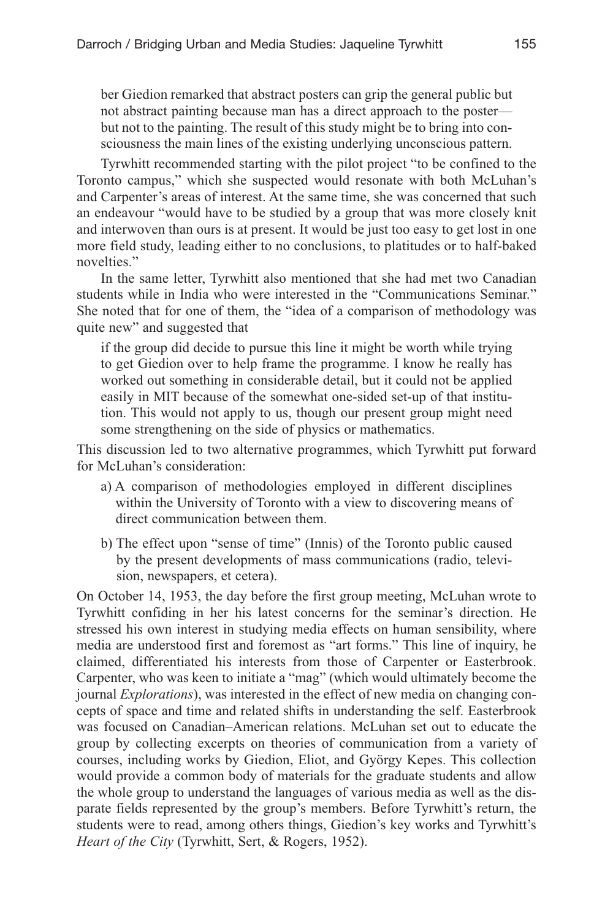ber Giedion remarked that abstract posters can grip the general public but not abstract painting because man has a direct approach to the poster but not to the painting. The result of this study might be to bring into consciousness the main lines of the existing underlying unconscious pattern.

Tyrwhitt recommended starting with the pilot project "to be confined to the Toronto campus," which she suspected would resonate with both McLuhan's and Carpenter's areas of interest. At the same time, she was concerned that such an endeavour "would have to be studied by a group that was more closely knit and interwoven than ours is at present. It would be just too easy to get lost in one more field study, leading either to no conclusions, to platitudes or to half-baked novelties."

In the same letter, Tyrwhitt also mentioned that she had met two Canadian students while in India who were interested in the "Communications Seminar." She noted that for one of them, the "idea of a comparison of methodology was quite new" and suggested that

if the group did decide to pursue this line it might be worth while trying to get Giedion over to help frame the programme. I know he really has worked out something in considerable detail, but it could not be applied easily in MIT because of the somewhat one-sided set-up of that institution. This would not apply to us, though our present group might need some strengthening on the side of physics or mathematics.

This discussion led to two alternative programmes, which Tyrwhitt put forward for McLuhan's consideration:

- a) A comparison of methodologies employed in different disciplines within the University of Toronto with a view to discovering means of direct communication between them.
- b) The effect upon "sense of time" (Innis) of the Toronto public caused by the present developments of mass communications (radio, television, newspapers, et cetera).

On October 14, 1953, the day before the first group meeting, McLuhan wrote to Tyrwhitt confiding in her his latest concerns for the seminar's direction. He stressed his own interest in studying media effects on human sensibility, where media are understood first and foremost as "art forms." This line of inquiry, he claimed, differentiated his interests from those of Carpenter or Easterbrook. Carpenter, who was keen to initiate a "mag" (which would ultimately become the journal *Explorations*), was interested in the effect of new media on changing concepts of space and time and related shifts in understanding the self. Easterbrook was focused on Canadian–American relations. McLuhan set out to educate the group by collecting excerpts on theories of communication from a variety of courses, including works by Giedion, Eliot, and György Kepes. This collection would provide a common body of materials for the graduate students and allow the whole group to understand the languages of various media as well as the disparate fields represented by the group's members. Before Tyrwhitt's return, the students were to read, among others things, Giedion's key works and Tyrwhitt's *Heart of the City* (Tyrwhitt, Sert, & Rogers, 1952).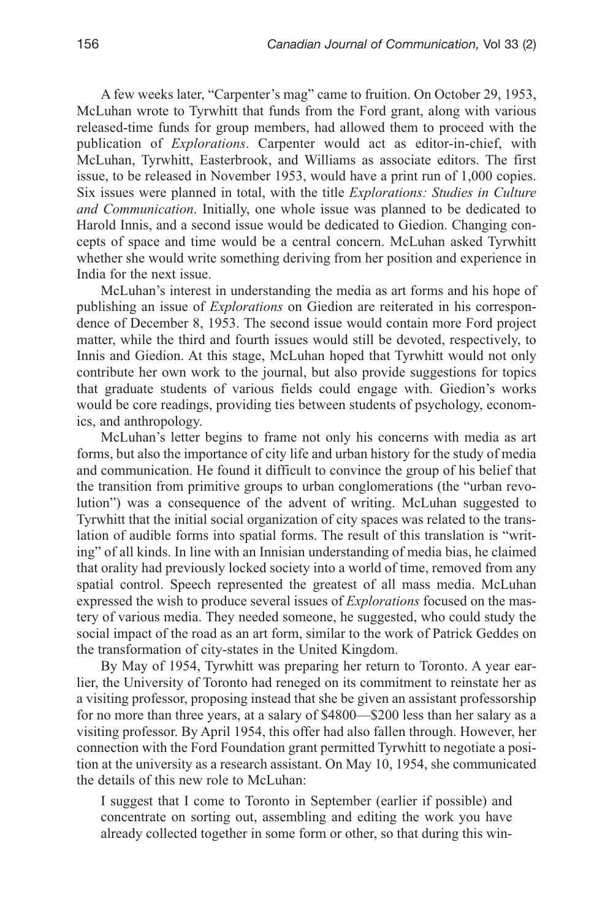A few weeks later, "Carpenter's mag" came to fruition. On October 29, 1953, McLuhan wrote to Tyrwhitt that funds from the Ford grant, along with various released-time funds for group members, had allowed them to proceed with the publication of *Explorations*. Carpenter would act as editor-in-chief, with McLuhan, Tyrwhitt, Easterbrook, and Williams as associate editors. The first issue, to be released in November 1953, would have a print run of 1,000 copies. Six issues were planned in total, with the title *Explorations: Studies in Culture and Communication*. Initially, one whole issue was planned to be dedicated to Harold Innis, and a second issue would be dedicated to Giedion. Changing concepts of space and time would be a central concern. McLuhan asked Tyrwhitt whether she would write something deriving from her position and experience in India for the next issue.

McLuhan's interest in understanding the media as art forms and his hope of publishing an issue of *Explorations* on Giedion are reiterated in his correspondence of December 8, 1953. The second issue would contain more Ford project matter, while the third and fourth issues would still be devoted, respectively, to Innis and Giedion. At this stage, McLuhan hoped that Tyrwhitt would not only contribute her own work to the journal, but also provide suggestions for topics that graduate students of various fields could engage with. Giedion's works would be core readings, providing ties between students of psychology, economics, and anthropology.

McLuhan's letter begins to frame not only his concerns with media as art forms, but also the importance of city life and urban history for the study of media and communication. He found it difficult to convince the group of his belief that the transition from primitive groups to urban conglomerations (the "urban revolution") was a consequence of the advent of writing. McLuhan suggested to Tyrwhitt that the initial social organization of city spaces was related to the translation of audible forms into spatial forms. The result of this translation is "writing" of all kinds. In line with an Innisian understanding of media bias, he claimed that orality had previously locked society into a world of time, removed from any spatial control. Speech represented the greatest of all mass media. McLuhan expressed the wish to produce several issues of *Explorations* focused on the mastery of various media. They needed someone, he suggested, who could study the social impact of the road as an art form, similar to the work of Patrick Geddes on the transformation of city-states in the United Kingdom.

By May of 1954, Tyrwhitt was preparing her return to Toronto. A year earlier, the University of Toronto had reneged on its commitment to reinstate her as a visiting professor, proposing instead that she be given an assistant professorship for no more than three years, at a salary of \$4800—\$200 less than her salary as a visiting professor. By April 1954, this offer had also fallen through. However, her connection with the Ford Foundation grant permitted Tyrwhitt to negotiate a position at the university as a research assistant. On May 10, 1954, she communicated the details of this new role to McLuhan:

I suggest that I come to Toronto in September (earlier if possible) and concentrate on sorting out, assembling and editing the work you have already collected together in some form or other, so that during this win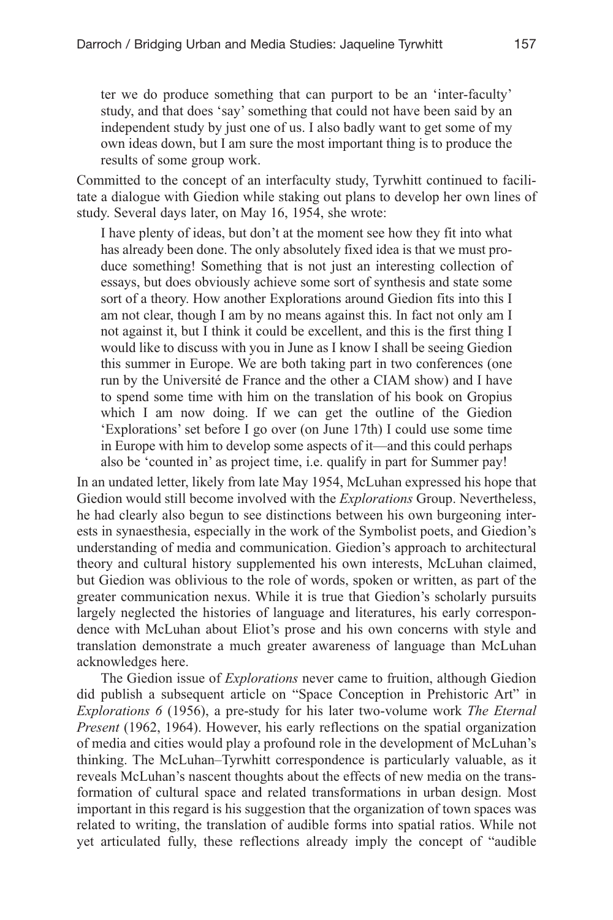ter we do produce something that can purport to be an 'inter-faculty' study, and that does 'say' something that could not have been said by an independent study by just one of us. I also badly want to get some of my own ideas down, but I am sure the most important thing is to produce the results of some group work.

Committed to the concept of an interfaculty study, Tyrwhitt continued to facilitate a dialogue with Giedion while staking out plans to develop her own lines of study. Several days later, on May 16, 1954, she wrote:

I have plenty of ideas, but don't at the moment see how they fit into what has already been done. The only absolutely fixed idea is that we must produce something! Something that is not just an interesting collection of essays, but does obviously achieve some sort of synthesis and state some sort of a theory. How another Explorations around Giedion fits into this I am not clear, though I am by no means against this. In fact not only am I not against it, but I think it could be excellent, and this is the first thing I would like to discuss with you in June as I know I shall be seeing Giedion this summer in Europe. We are both taking part in two conferences (one run by the Université de France and the other a CIAM show) and I have to spend some time with him on the translation of his book on Gropius which I am now doing. If we can get the outline of the Giedion 'Explorations' set before I go over (on June 17th) I could use some time in Europe with him to develop some aspects of it—and this could perhaps also be 'counted in' as project time, i.e. qualify in part for Summer pay!

In an undated letter, likely from late May 1954, McLuhan expressed his hope that Giedion would still become involved with the *Explorations* Group. Nevertheless, he had clearly also begun to see distinctions between his own burgeoning interests in synaesthesia, especially in the work of the Symbolist poets, and Giedion's understanding of media and communication. Giedion's approach to architectural theory and cultural history supplemented his own interests, McLuhan claimed, but Giedion was oblivious to the role of words, spoken or written, as part of the greater communication nexus. While it is true that Giedion's scholarly pursuits largely neglected the histories of language and literatures, his early correspondence with McLuhan about Eliot's prose and his own concerns with style and translation demonstrate a much greater awareness of language than McLuhan acknowledges here.

The Giedion issue of *Explorations* never came to fruition, although Giedion did publish a subsequent article on "Space Conception in Prehistoric Art" in *Explorations 6* (1956), a pre-study for his later two-volume work *The Eternal Present* (1962, 1964). However, his early reflections on the spatial organization of media and cities would play a profound role in the development of McLuhan's thinking. The McLuhan–Tyrwhitt correspondence is particularly valuable, as it reveals McLuhan's nascent thoughts about the effects of new media on the transformation of cultural space and related transformations in urban design. Most important in this regard is his suggestion that the organization of town spaces was related to writing, the translation of audible forms into spatial ratios. While not yet articulated fully, these reflections already imply the concept of "audible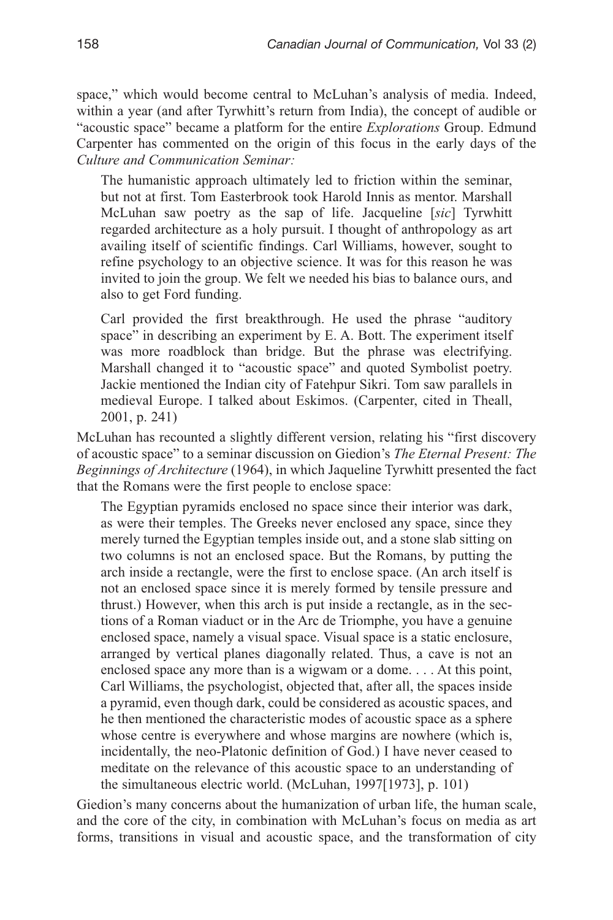space," which would become central to McLuhan's analysis of media. Indeed, within a year (and after Tyrwhitt's return from India), the concept of audible or "acoustic space" became a platform for the entire *Explorations* Group. Edmund Carpenter has commented on the origin of this focus in the early days of the *Culture and Communication Seminar:*

The humanistic approach ultimately led to friction within the seminar, but not at first. Tom Easterbrook took Harold Innis as mentor. Marshall McLuhan saw poetry as the sap of life. Jacqueline [*sic*] Tyrwhitt regarded architecture as a holy pursuit. I thought of anthropology as art availing itself of scientific findings. Carl Williams, however, sought to refine psychology to an objective science. It was for this reason he was invited to join the group. We felt we needed his bias to balance ours, and also to get Ford funding.

Carl provided the first breakthrough. He used the phrase "auditory space" in describing an experiment by E. A. Bott. The experiment itself was more roadblock than bridge. But the phrase was electrifying. Marshall changed it to "acoustic space" and quoted Symbolist poetry. Jackie mentioned the Indian city of Fatehpur Sikri. Tom saw parallels in medieval Europe. I talked about Eskimos. (Carpenter, cited in Theall, 2001, p. 241)

McLuhan has recounted a slightly different version, relating his "first discovery of acoustic space" to a seminar discussion on Giedion's *The Eternal Present: The Beginnings of Architecture* (1964), in which Jaqueline Tyrwhitt presented the fact that the Romans were the first people to enclose space:

The Egyptian pyramids enclosed no space since their interior was dark, as were their temples. The Greeks never enclosed any space, since they merely turned the Egyptian temples inside out, and a stone slab sitting on two columns is not an enclosed space. But the Romans, by putting the arch inside a rectangle, were the first to enclose space. (An arch itself is not an enclosed space since it is merely formed by tensile pressure and thrust.) However, when this arch is put inside a rectangle, as in the sections of a Roman viaduct or in the Arc de Triomphe, you have a genuine enclosed space, namely a visual space. Visual space is a static enclosure, arranged by vertical planes diagonally related. Thus, a cave is not an enclosed space any more than is a wigwam or a dome. . . . At this point, Carl Williams, the psychologist, objected that, after all, the spaces inside a pyramid, even though dark, could be considered as acoustic spaces, and he then mentioned the characteristic modes of acoustic space as a sphere whose centre is everywhere and whose margins are nowhere (which is, incidentally, the neo-Platonic definition of God.) I have never ceased to meditate on the relevance of this acoustic space to an understanding of the simultaneous electric world. (McLuhan, 1997[1973], p. 101)

Giedion's many concerns about the humanization of urban life, the human scale, and the core of the city, in combination with McLuhan's focus on media as art forms, transitions in visual and acoustic space, and the transformation of city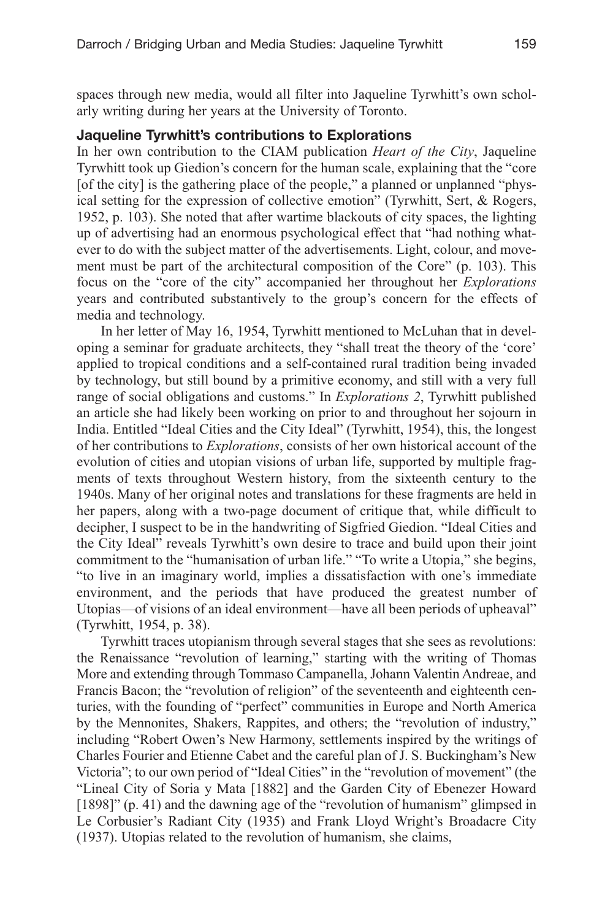spaces through new media, would all filter into Jaqueline Tyrwhitt's own scholarly writing during her years at the University of Toronto.

#### **Jaqueline Tyrwhitt's contributions to Explorations**

In her own contribution to the CIAM publication *Heart of the City*, Jaqueline Tyrwhitt took up Giedion's concern for the human scale, explaining that the "core [of the city] is the gathering place of the people," a planned or unplanned "physical setting for the expression of collective emotion" (Tyrwhitt, Sert, & Rogers, 1952, p. 103). She noted that after wartime blackouts of city spaces, the lighting up of advertising had an enormous psychological effect that "had nothing whatever to do with the subject matter of the advertisements. Light, colour, and movement must be part of the architectural composition of the Core" (p. 103). This focus on the "core of the city" accompanied her throughout her *Explorations* years and contributed substantively to the group's concern for the effects of media and technology.

In her letter of May 16, 1954, Tyrwhitt mentioned to McLuhan that in developing a seminar for graduate architects, they "shall treat the theory of the 'core' applied to tropical conditions and a self-contained rural tradition being invaded by technology, but still bound by a primitive economy, and still with a very full range of social obligations and customs." In *Explorations 2*, Tyrwhitt published an article she had likely been working on prior to and throughout her sojourn in India. Entitled "Ideal Cities and the City Ideal" (Tyrwhitt, 1954), this, the longest of her contributions to *Explorations*, consists of her own historical account of the evolution of cities and utopian visions of urban life, supported by multiple fragments of texts throughout Western history, from the sixteenth century to the 1940s. Many of her original notes and translations for these fragments are held in her papers, along with a two-page document of critique that, while difficult to decipher, I suspect to be in the handwriting of Sigfried Giedion. "Ideal Cities and the City Ideal" reveals Tyrwhitt's own desire to trace and build upon their joint commitment to the "humanisation of urban life." "To write a Utopia," she begins, "to live in an imaginary world, implies a dissatisfaction with one's immediate environment, and the periods that have produced the greatest number of Utopias—of visions of an ideal environment—have all been periods of upheaval" (Tyrwhitt, 1954, p. 38).

Tyrwhitt traces utopianism through several stages that she sees as revolutions: the Renaissance "revolution of learning," starting with the writing of Thomas More and extending through Tommaso Campanella, Johann Valentin Andreae, and Francis Bacon; the "revolution of religion" of the seventeenth and eighteenth centuries, with the founding of "perfect" communities in Europe and North America by the Mennonites, Shakers, Rappites, and others; the "revolution of industry," including "Robert Owen's New Harmony, settlements inspired by the writings of Charles Fourier and Etienne Cabet and the careful plan of J. S. Buckingham's New Victoria"; to our own period of "Ideal Cities" in the "revolution of movement" (the "Lineal City of Soria y Mata [1882] and the Garden City of Ebenezer Howard [1898]" (p. 41) and the dawning age of the "revolution of humanism" glimpsed in Le Corbusier's Radiant City (1935) and Frank Lloyd Wright's Broadacre City (1937). Utopias related to the revolution of humanism, she claims,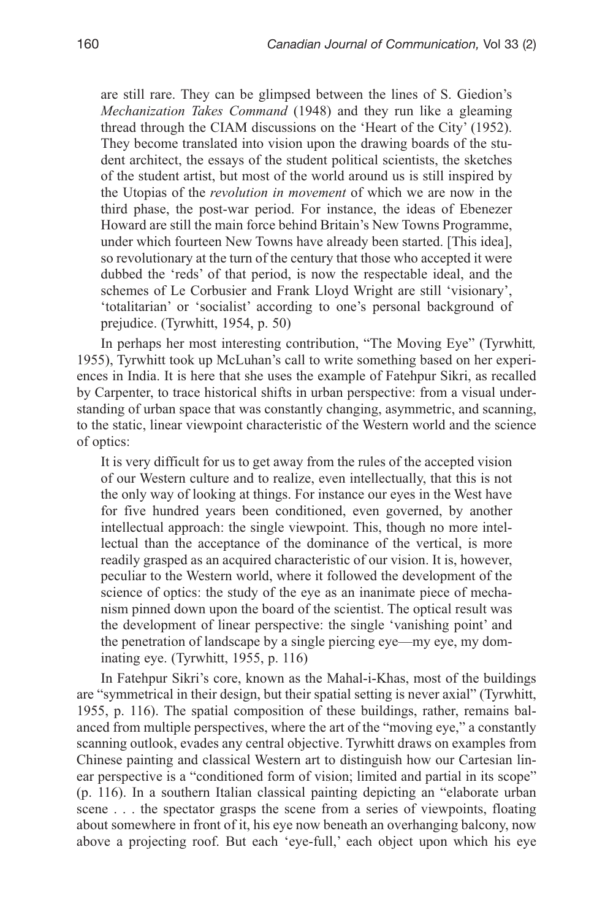are still rare. They can be glimpsed between the lines of S. Giedion's *Mechanization Takes Command* (1948) and they run like a gleaming thread through the CIAM discussions on the 'Heart of the City' (1952). They become translated into vision upon the drawing boards of the student architect, the essays of the student political scientists, the sketches of the student artist, but most of the world around us is still inspired by the Utopias of the *revolution in movement* of which we are now in the third phase, the post-war period. For instance, the ideas of Ebenezer Howard are still the main force behind Britain's New Towns Programme, under which fourteen New Towns have already been started. [This idea], so revolutionary at the turn of the century that those who accepted it were dubbed the 'reds' of that period, is now the respectable ideal, and the schemes of Le Corbusier and Frank Lloyd Wright are still 'visionary', 'totalitarian' or 'socialist' according to one's personal background of prejudice. (Tyrwhitt, 1954, p. 50)

In perhaps her most interesting contribution, "The Moving Eye" (Tyrwhitt*,* 1955), Tyrwhitt took up McLuhan's call to write something based on her experiences in India. It is here that she uses the example of Fatehpur Sikri, as recalled by Carpenter, to trace historical shifts in urban perspective: from a visual understanding of urban space that was constantly changing, asymmetric, and scanning, to the static, linear viewpoint characteristic of the Western world and the science of optics:

It is very difficult for us to get away from the rules of the accepted vision of our Western culture and to realize, even intellectually, that this is not the only way of looking at things. For instance our eyes in the West have for five hundred years been conditioned, even governed, by another intellectual approach: the single viewpoint. This, though no more intellectual than the acceptance of the dominance of the vertical, is more readily grasped as an acquired characteristic of our vision. It is, however, peculiar to the Western world, where it followed the development of the science of optics: the study of the eye as an inanimate piece of mechanism pinned down upon the board of the scientist. The optical result was the development of linear perspective: the single 'vanishing point' and the penetration of landscape by a single piercing eye—my eye, my dominating eye. (Tyrwhitt, 1955, p. 116)

In Fatehpur Sikri's core, known as the Mahal-i-Khas, most of the buildings are "symmetrical in their design, but their spatial setting is never axial" (Tyrwhitt, 1955, p. 116). The spatial composition of these buildings, rather, remains balanced from multiple perspectives, where the art of the "moving eye," a constantly scanning outlook, evades any central objective. Tyrwhitt draws on examples from Chinese painting and classical Western art to distinguish how our Cartesian linear perspective is a "conditioned form of vision; limited and partial in its scope" (p. 116). In a southern Italian classical painting depicting an "elaborate urban scene . . . the spectator grasps the scene from a series of viewpoints, floating about somewhere in front of it, his eye now beneath an overhanging balcony, now above a projecting roof. But each 'eye-full,' each object upon which his eye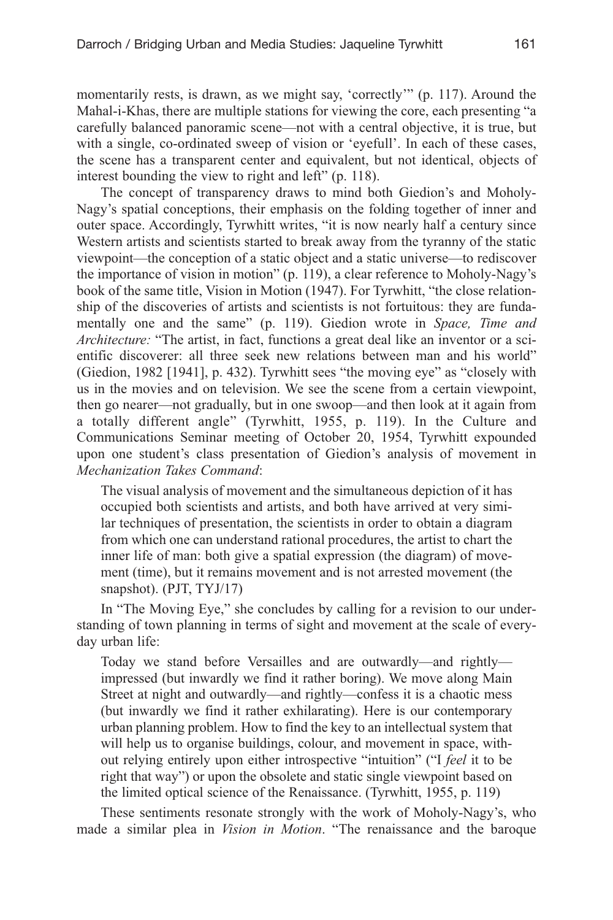momentarily rests, is drawn, as we might say, 'correctly'" (p. 117). Around the Mahal-i-Khas, there are multiple stations for viewing the core, each presenting "a carefully balanced panoramic scene—not with a central objective, it is true, but with a single, co-ordinated sweep of vision or 'eyefull'. In each of these cases, the scene has a transparent center and equivalent, but not identical, objects of interest bounding the view to right and left" (p. 118).

The concept of transparency draws to mind both Giedion's and Moholy-Nagy's spatial conceptions, their emphasis on the folding together of inner and outer space. Accordingly, Tyrwhitt writes, "it is now nearly half a century since Western artists and scientists started to break away from the tyranny of the static viewpoint—the conception of a static object and a static universe—to rediscover the importance of vision in motion" (p. 119), a clear reference to Moholy-Nagy's book of the same title, Vision in Motion (1947). For Tyrwhitt, "the close relationship of the discoveries of artists and scientists is not fortuitous: they are fundamentally one and the same" (p. 119). Giedion wrote in *Space, Time and Architecture:* "The artist, in fact, functions a great deal like an inventor or a scientific discoverer: all three seek new relations between man and his world" (Giedion, 1982 [1941], p. 432). Tyrwhitt sees "the moving eye" as "closely with us in the movies and on television. We see the scene from a certain viewpoint, then go nearer—not gradually, but in one swoop—and then look at it again from a totally different angle" (Tyrwhitt, 1955, p. 119). In the Culture and Communications Seminar meeting of October 20, 1954, Tyrwhitt expounded upon one student's class presentation of Giedion's analysis of movement in *Mechanization Takes Command*:

The visual analysis of movement and the simultaneous depiction of it has occupied both scientists and artists, and both have arrived at very similar techniques of presentation, the scientists in order to obtain a diagram from which one can understand rational procedures, the artist to chart the inner life of man: both give a spatial expression (the diagram) of movement (time), but it remains movement and is not arrested movement (the snapshot). (PJT, TYJ/17)

In "The Moving Eye," she concludes by calling for a revision to our understanding of town planning in terms of sight and movement at the scale of everyday urban life:

Today we stand before Versailles and are outwardly—and rightly impressed (but inwardly we find it rather boring). We move along Main Street at night and outwardly—and rightly—confess it is a chaotic mess (but inwardly we find it rather exhilarating). Here is our contemporary urban planning problem. How to find the key to an intellectual system that will help us to organise buildings, colour, and movement in space, without relying entirely upon either introspective "intuition" ("I *feel* it to be right that way") or upon the obsolete and static single viewpoint based on the limited optical science of the Renaissance. (Tyrwhitt, 1955, p. 119)

These sentiments resonate strongly with the work of Moholy-Nagy's, who made a similar plea in *Vision in Motion*. "The renaissance and the baroque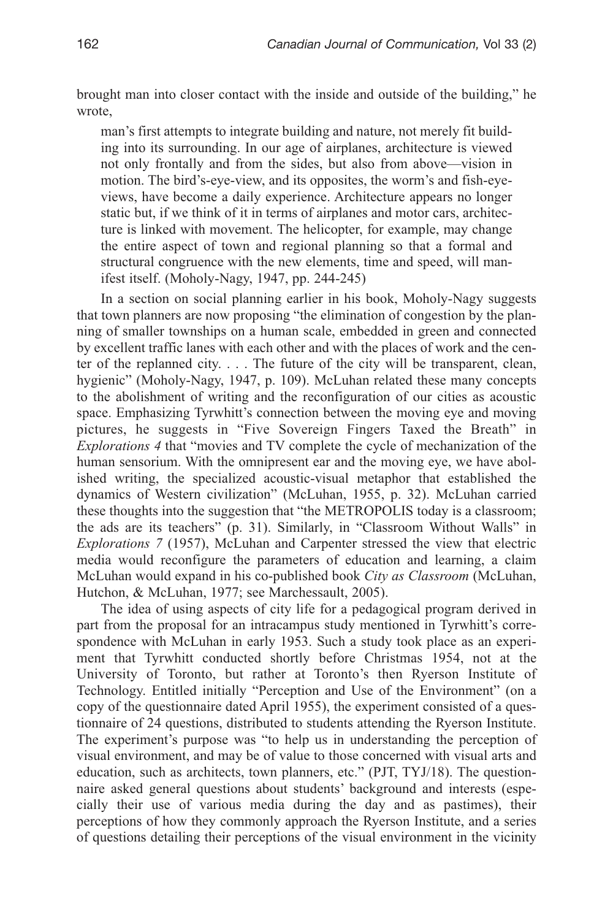brought man into closer contact with the inside and outside of the building," he wrote,

man's first attempts to integrate building and nature, not merely fit building into its surrounding. In our age of airplanes, architecture is viewed not only frontally and from the sides, but also from above—vision in motion. The bird's-eye-view, and its opposites, the worm's and fish-eyeviews, have become a daily experience. Architecture appears no longer static but, if we think of it in terms of airplanes and motor cars, architecture is linked with movement. The helicopter, for example, may change the entire aspect of town and regional planning so that a formal and structural congruence with the new elements, time and speed, will manifest itself. (Moholy-Nagy, 1947, pp. 244-245)

In a section on social planning earlier in his book, Moholy-Nagy suggests that town planners are now proposing "the elimination of congestion by the planning of smaller townships on a human scale, embedded in green and connected by excellent traffic lanes with each other and with the places of work and the center of the replanned city. . . . The future of the city will be transparent, clean, hygienic" (Moholy-Nagy, 1947, p. 109). McLuhan related these many concepts to the abolishment of writing and the reconfiguration of our cities as acoustic space. Emphasizing Tyrwhitt's connection between the moving eye and moving pictures, he suggests in "Five Sovereign Fingers Taxed the Breath" in *Explorations 4* that "movies and TV complete the cycle of mechanization of the human sensorium. With the omnipresent ear and the moving eye, we have abolished writing, the specialized acoustic-visual metaphor that established the dynamics of Western civilization" (McLuhan, 1955, p. 32). McLuhan carried these thoughts into the suggestion that "the METROPOLIS today is a classroom; the ads are its teachers" (p. 31). Similarly, in "Classroom Without Walls" in *Explorations 7* (1957), McLuhan and Carpenter stressed the view that electric media would reconfigure the parameters of education and learning, a claim McLuhan would expand in his co-published book *City as Classroom* (McLuhan, Hutchon, & McLuhan, 1977; see Marchessault, 2005).

The idea of using aspects of city life for a pedagogical program derived in part from the proposal for an intracampus study mentioned in Tyrwhitt's correspondence with McLuhan in early 1953. Such a study took place as an experiment that Tyrwhitt conducted shortly before Christmas 1954, not at the University of Toronto, but rather at Toronto's then Ryerson Institute of Technology. Entitled initially "Perception and Use of the Environment" (on a copy of the questionnaire dated April 1955), the experiment consisted of a questionnaire of 24 questions, distributed to students attending the Ryerson Institute. The experiment's purpose was "to help us in understanding the perception of visual environment, and may be of value to those concerned with visual arts and education, such as architects, town planners, etc." (PJT, TYJ/18). The questionnaire asked general questions about students' background and interests (especially their use of various media during the day and as pastimes), their perceptions of how they commonly approach the Ryerson Institute, and a series of questions detailing their perceptions of the visual environment in the vicinity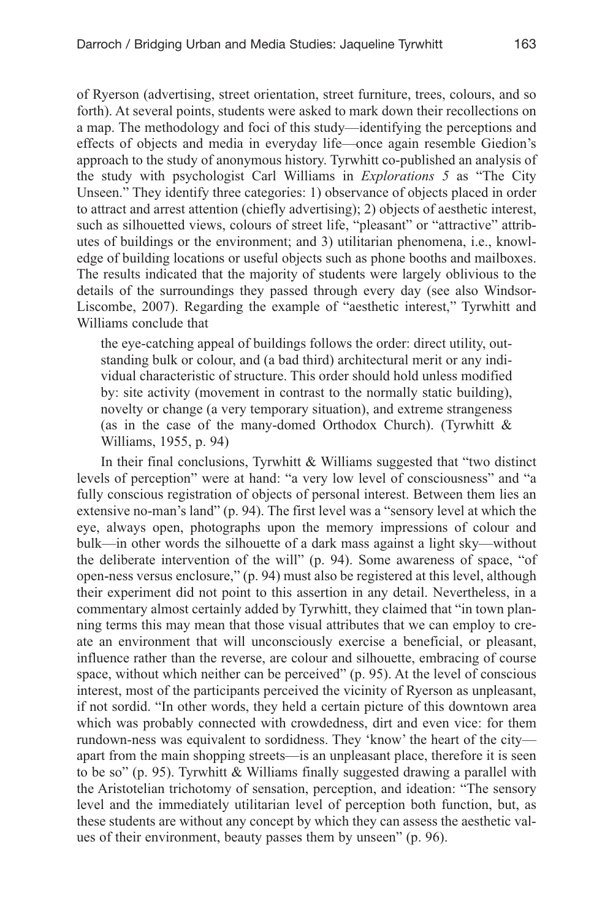of Ryerson (advertising, street orientation, street furniture, trees, colours, and so forth). At several points, students were asked to mark down their recollections on a map. The methodology and foci of this study—identifying the perceptions and effects of objects and media in everyday life—once again resemble Giedion's approach to the study of anonymous history. Tyrwhitt co-published an analysis of the study with psychologist Carl Williams in *Explorations 5* as "The City Unseen." They identify three categories: 1) observance of objects placed in order to attract and arrest attention (chiefly advertising); 2) objects of aesthetic interest, such as silhouetted views, colours of street life, "pleasant" or "attractive" attributes of buildings or the environment; and 3) utilitarian phenomena, i.e., knowledge of building locations or useful objects such as phone booths and mailboxes. The results indicated that the majority of students were largely oblivious to the details of the surroundings they passed through every day (see also Windsor-Liscombe, 2007). Regarding the example of "aesthetic interest," Tyrwhitt and Williams conclude that

the eye-catching appeal of buildings follows the order: direct utility, outstanding bulk or colour, and (a bad third) architectural merit or any individual characteristic of structure. This order should hold unless modified by: site activity (movement in contrast to the normally static building), novelty or change (a very temporary situation), and extreme strangeness (as in the case of the many-domed Orthodox Church). (Tyrwhitt  $\&$ Williams, 1955, p. 94)

In their final conclusions, Tyrwhitt & Williams suggested that "two distinct levels of perception" were at hand: "a very low level of consciousness" and "a fully conscious registration of objects of personal interest. Between them lies an extensive no-man's land" (p. 94). The first level was a "sensory level at which the eye, always open, photographs upon the memory impressions of colour and bulk—in other words the silhouette of a dark mass against a light sky—without the deliberate intervention of the will" (p. 94). Some awareness of space, "of open-ness versus enclosure," (p. 94) must also be registered at this level, although their experiment did not point to this assertion in any detail. Nevertheless, in a commentary almost certainly added by Tyrwhitt, they claimed that "in town planning terms this may mean that those visual attributes that we can employ to create an environment that will unconsciously exercise a beneficial, or pleasant, influence rather than the reverse, are colour and silhouette, embracing of course space, without which neither can be perceived" (p. 95). At the level of conscious interest, most of the participants perceived the vicinity of Ryerson as unpleasant, if not sordid. "In other words, they held a certain picture of this downtown area which was probably connected with crowdedness, dirt and even vice: for them rundown-ness was equivalent to sordidness. They 'know' the heart of the city apart from the main shopping streets—is an unpleasant place, therefore it is seen to be so" (p. 95). Tyrwhitt & Williams finally suggested drawing a parallel with the Aristotelian trichotomy of sensation, perception, and ideation: "The sensory level and the immediately utilitarian level of perception both function, but, as these students are without any concept by which they can assess the aesthetic values of their environment, beauty passes them by unseen" (p. 96).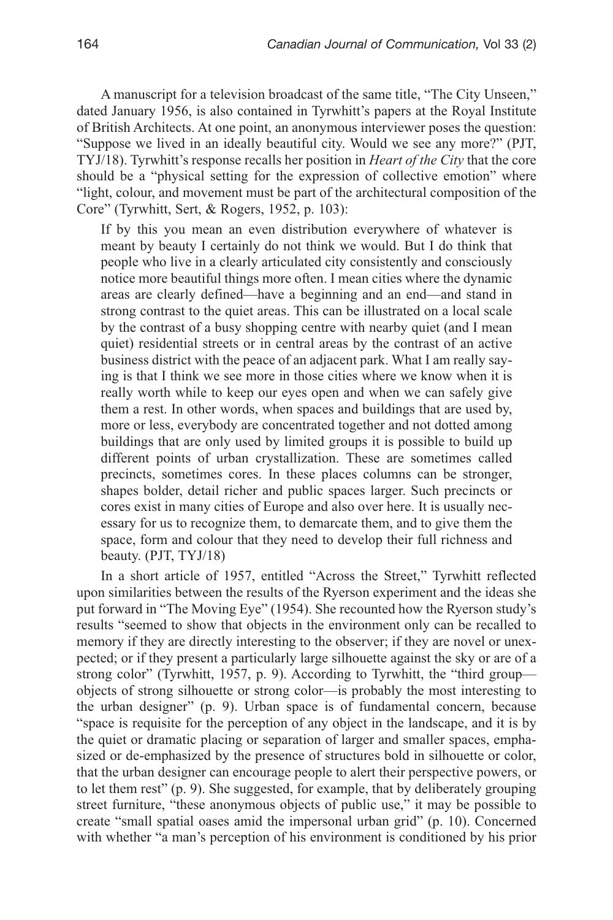A manuscript for a television broadcast of the same title, "The City Unseen," dated January 1956, is also contained in Tyrwhitt's papers at the Royal Institute of British Architects. At one point, an anonymous interviewer poses the question: "Suppose we lived in an ideally beautiful city. Would we see any more?" (PJT, TYJ/18). Tyrwhitt's response recalls her position in *Heart of the City* that the core should be a "physical setting for the expression of collective emotion" where "light, colour, and movement must be part of the architectural composition of the Core" (Tyrwhitt, Sert, & Rogers, 1952, p. 103):

If by this you mean an even distribution everywhere of whatever is meant by beauty I certainly do not think we would. But I do think that people who live in a clearly articulated city consistently and consciously notice more beautiful things more often. I mean cities where the dynamic areas are clearly defined—have a beginning and an end—and stand in strong contrast to the quiet areas. This can be illustrated on a local scale by the contrast of a busy shopping centre with nearby quiet (and I mean quiet) residential streets or in central areas by the contrast of an active business district with the peace of an adjacent park. What I am really saying is that I think we see more in those cities where we know when it is really worth while to keep our eyes open and when we can safely give them a rest. In other words, when spaces and buildings that are used by, more or less, everybody are concentrated together and not dotted among buildings that are only used by limited groups it is possible to build up different points of urban crystallization. These are sometimes called precincts, sometimes cores. In these places columns can be stronger, shapes bolder, detail richer and public spaces larger. Such precincts or cores exist in many cities of Europe and also over here. It is usually necessary for us to recognize them, to demarcate them, and to give them the space, form and colour that they need to develop their full richness and beauty. (PJT, TYJ/18)

In a short article of 1957, entitled "Across the Street," Tyrwhitt reflected upon similarities between the results of the Ryerson experiment and the ideas she put forward in "The Moving Eye" (1954). She recounted how the Ryerson study's results "seemed to show that objects in the environment only can be recalled to memory if they are directly interesting to the observer; if they are novel or unexpected; or if they present a particularly large silhouette against the sky or are of a strong color" (Tyrwhitt, 1957, p. 9). According to Tyrwhitt, the "third group objects of strong silhouette or strong color—is probably the most interesting to the urban designer" (p. 9). Urban space is of fundamental concern, because "space is requisite for the perception of any object in the landscape, and it is by the quiet or dramatic placing or separation of larger and smaller spaces, emphasized or de-emphasized by the presence of structures bold in silhouette or color, that the urban designer can encourage people to alert their perspective powers, or to let them rest" (p. 9). She suggested, for example, that by deliberately grouping street furniture, "these anonymous objects of public use," it may be possible to create "small spatial oases amid the impersonal urban grid" (p. 10). Concerned with whether "a man's perception of his environment is conditioned by his prior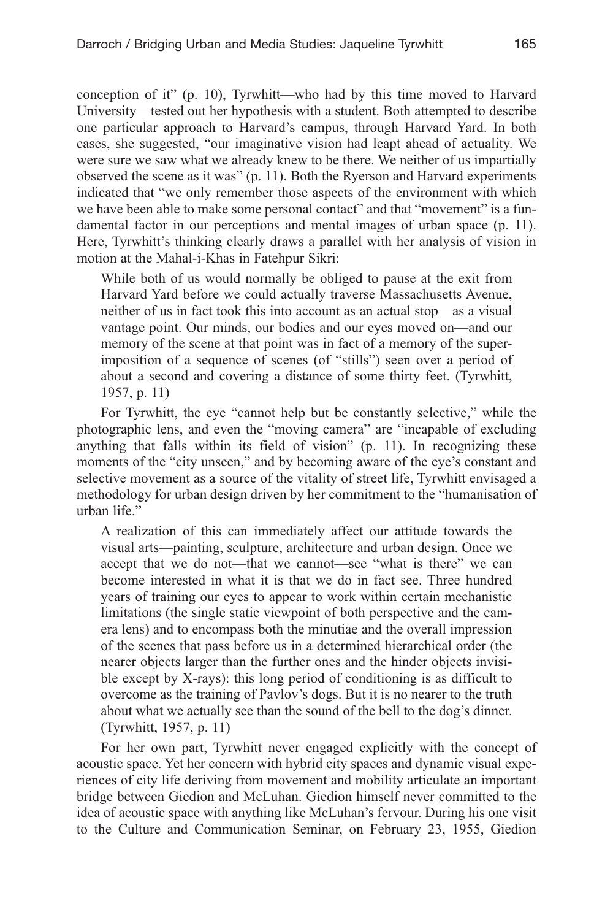conception of it" (p. 10), Tyrwhitt—who had by this time moved to Harvard University—tested out her hypothesis with a student. Both attempted to describe one particular approach to Harvard's campus, through Harvard Yard. In both cases, she suggested, "our imaginative vision had leapt ahead of actuality. We were sure we saw what we already knew to be there. We neither of us impartially observed the scene as it was" (p. 11). Both the Ryerson and Harvard experiments indicated that "we only remember those aspects of the environment with which we have been able to make some personal contact" and that "movement" is a fundamental factor in our perceptions and mental images of urban space (p. 11). Here, Tyrwhitt's thinking clearly draws a parallel with her analysis of vision in motion at the Mahal-i-Khas in Fatehpur Sikri:

While both of us would normally be obliged to pause at the exit from Harvard Yard before we could actually traverse Massachusetts Avenue, neither of us in fact took this into account as an actual stop—as a visual vantage point. Our minds, our bodies and our eyes moved on—and our memory of the scene at that point was in fact of a memory of the superimposition of a sequence of scenes (of "stills") seen over a period of about a second and covering a distance of some thirty feet. (Tyrwhitt, 1957, p. 11)

For Tyrwhitt, the eye "cannot help but be constantly selective," while the photographic lens, and even the "moving camera" are "incapable of excluding anything that falls within its field of vision" (p. 11). In recognizing these moments of the "city unseen," and by becoming aware of the eye's constant and selective movement as a source of the vitality of street life, Tyrwhitt envisaged a methodology for urban design driven by her commitment to the "humanisation of urban life."

A realization of this can immediately affect our attitude towards the visual arts—painting, sculpture, architecture and urban design. Once we accept that we do not—that we cannot—see "what is there" we can become interested in what it is that we do in fact see. Three hundred years of training our eyes to appear to work within certain mechanistic limitations (the single static viewpoint of both perspective and the camera lens) and to encompass both the minutiae and the overall impression of the scenes that pass before us in a determined hierarchical order (the nearer objects larger than the further ones and the hinder objects invisible except by X-rays): this long period of conditioning is as difficult to overcome as the training of Pavlov's dogs. But it is no nearer to the truth about what we actually see than the sound of the bell to the dog's dinner. (Tyrwhitt, 1957, p. 11)

For her own part, Tyrwhitt never engaged explicitly with the concept of acoustic space. Yet her concern with hybrid city spaces and dynamic visual experiences of city life deriving from movement and mobility articulate an important bridge between Giedion and McLuhan. Giedion himself never committed to the idea of acoustic space with anything like McLuhan's fervour. During his one visit to the Culture and Communication Seminar, on February 23, 1955, Giedion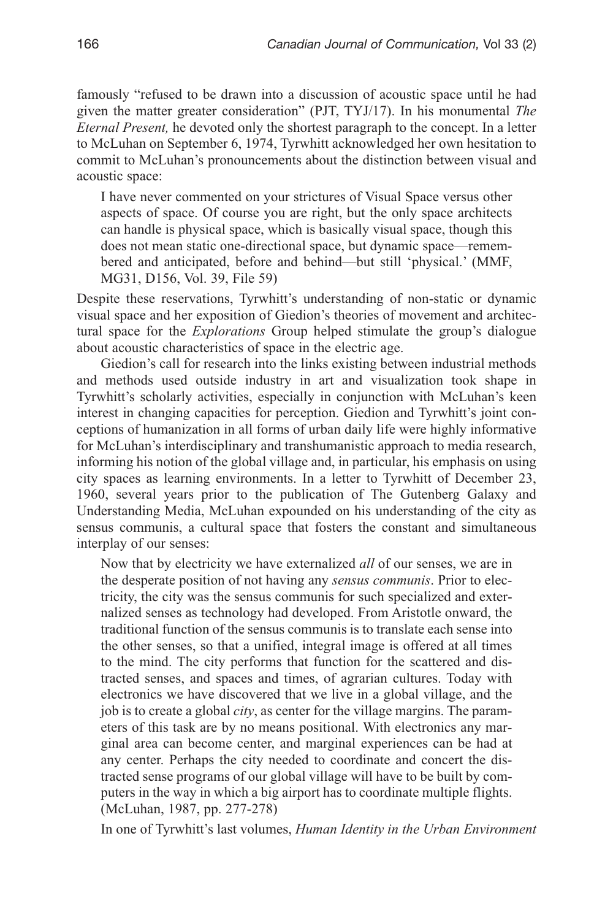famously "refused to be drawn into a discussion of acoustic space until he had given the matter greater consideration" (PJT, TYJ/17). In his monumental *The Eternal Present,* he devoted only the shortest paragraph to the concept. In a letter to McLuhan on September 6, 1974, Tyrwhitt acknowledged her own hesitation to commit to McLuhan's pronouncements about the distinction between visual and acoustic space:

I have never commented on your strictures of Visual Space versus other aspects of space. Of course you are right, but the only space architects can handle is physical space, which is basically visual space, though this does not mean static one-directional space, but dynamic space—remembered and anticipated, before and behind—but still 'physical.' (MMF, MG31, D156, Vol. 39, File 59)

Despite these reservations, Tyrwhitt's understanding of non-static or dynamic visual space and her exposition of Giedion's theories of movement and architectural space for the *Explorations* Group helped stimulate the group's dialogue about acoustic characteristics of space in the electric age.

Giedion's call for research into the links existing between industrial methods and methods used outside industry in art and visualization took shape in Tyrwhitt's scholarly activities, especially in conjunction with McLuhan's keen interest in changing capacities for perception. Giedion and Tyrwhitt's joint conceptions of humanization in all forms of urban daily life were highly informative for McLuhan's interdisciplinary and transhumanistic approach to media research, informing his notion of the global village and, in particular, his emphasis on using city spaces as learning environments. In a letter to Tyrwhitt of December 23, 1960, several years prior to the publication of The Gutenberg Galaxy and Understanding Media, McLuhan expounded on his understanding of the city as sensus communis, a cultural space that fosters the constant and simultaneous interplay of our senses:

Now that by electricity we have externalized *all* of our senses, we are in the desperate position of not having any *sensus communis*. Prior to electricity, the city was the sensus communis for such specialized and externalized senses as technology had developed. From Aristotle onward, the traditional function of the sensus communis is to translate each sense into the other senses, so that a unified, integral image is offered at all times to the mind. The city performs that function for the scattered and distracted senses, and spaces and times, of agrarian cultures. Today with electronics we have discovered that we live in a global village, and the job is to create a global *city*, as center for the village margins. The parameters of this task are by no means positional. With electronics any marginal area can become center, and marginal experiences can be had at any center. Perhaps the city needed to coordinate and concert the distracted sense programs of our global village will have to be built by computers in the way in which a big airport has to coordinate multiple flights. (McLuhan, 1987, pp. 277-278)

In one of Tyrwhitt's last volumes, *Human Identity in the Urban Environment*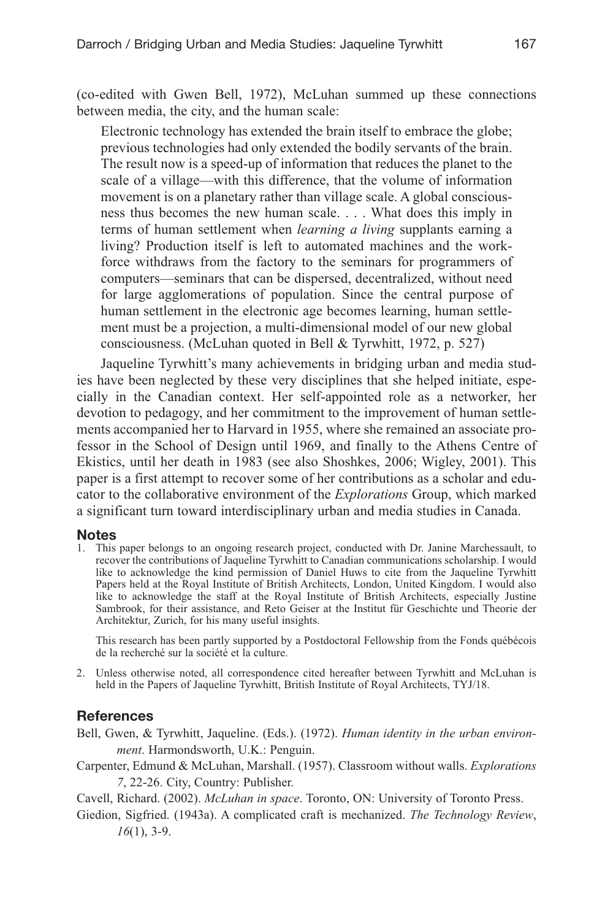(co-edited with Gwen Bell, 1972), McLuhan summed up these connections between media, the city, and the human scale:

Electronic technology has extended the brain itself to embrace the globe; previous technologies had only extended the bodily servants of the brain. The result now is a speed-up of information that reduces the planet to the scale of a village—with this difference, that the volume of information movement is on a planetary rather than village scale. A global consciousness thus becomes the new human scale. . . . What does this imply in terms of human settlement when *learning a living* supplants earning a living? Production itself is left to automated machines and the workforce withdraws from the factory to the seminars for programmers of computers—seminars that can be dispersed, decentralized, without need for large agglomerations of population. Since the central purpose of human settlement in the electronic age becomes learning, human settlement must be a projection, a multi-dimensional model of our new global consciousness. (McLuhan quoted in Bell & Tyrwhitt, 1972, p. 527)

Jaqueline Tyrwhitt's many achievements in bridging urban and media studies have been neglected by these very disciplines that she helped initiate, especially in the Canadian context. Her self-appointed role as a networker, her devotion to pedagogy, and her commitment to the improvement of human settlements accompanied her to Harvard in 1955, where she remained an associate professor in the School of Design until 1969, and finally to the Athens Centre of Ekistics, until her death in 1983 (see also Shoshkes, 2006; Wigley, 2001). This paper is a first attempt to recover some of her contributions as a scholar and educator to the collaborative environment of the *Explorations* Group, which marked a significant turn toward interdisciplinary urban and media studies in Canada.

#### **Notes**

1. This paper belongs to an ongoing research project, conducted with Dr. Janine Marchessault, to recover the contributions of Jaqueline Tyrwhitt to Canadian communications scholarship. I would like to acknowledge the kind permission of Daniel Huws to cite from the Jaqueline Tyrwhitt Papers held at the Royal Institute of British Architects, London, United Kingdom. I would also like to acknowledge the staff at the Royal Institute of British Architects, especially Justine Sambrook, for their assistance, and Reto Geiser at the Institut für Geschichte und Theorie der Architektur, Zurich, for his many useful insights.

This research has been partly supported by a Postdoctoral Fellowship from the Fonds québécois de la recherché sur la société et la culture.

2. Unless otherwise noted, all correspondence cited hereafter between Tyrwhitt and McLuhan is held in the Papers of Jaqueline Tyrwhitt, British Institute of Royal Architects, TYJ/18.

#### **References**

Bell, Gwen, & Tyrwhitt, Jaqueline. (Eds.). (1972). *Human identity in the urban environment*. Harmondsworth, U.K.: Penguin.

Carpenter, Edmund & McLuhan, Marshall. (1957). Classroom without walls. *Explorations 7*, 22-26. City, Country: Publisher.

Cavell, Richard. (2002). *McLuhan in space*. Toronto, ON: University of Toronto Press.

Giedion, Sigfried. (1943a). A complicated craft is mechanized. *The Technology Review*, *16*(1), 3-9.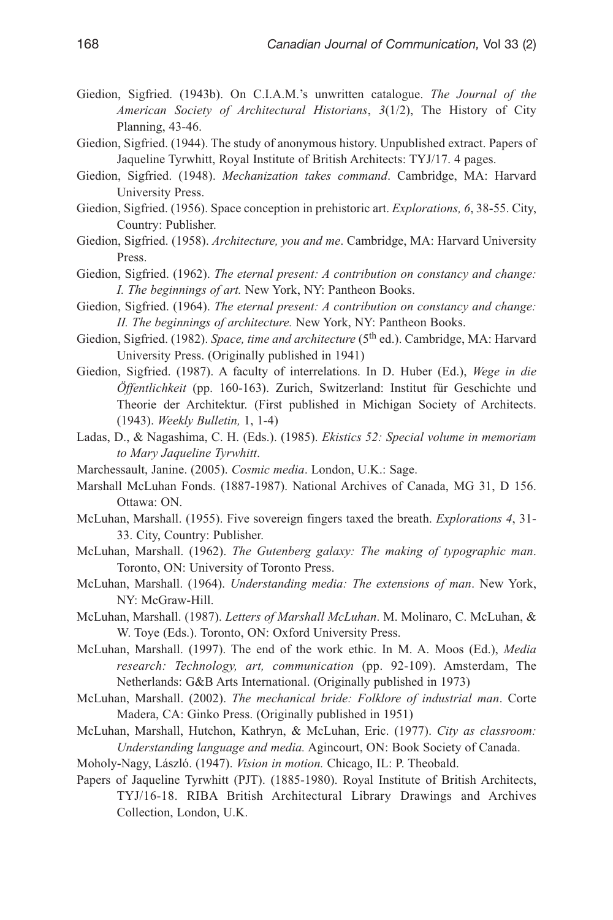- Giedion, Sigfried. (1943b). On C.I.A.M.'s unwritten catalogue. *The Journal of the American Society of Architectural Historians*, *3*(1/2), The History of City Planning, 43-46.
- Giedion, Sigfried. (1944). The study of anonymous history. Unpublished extract. Papers of Jaqueline Tyrwhitt, Royal Institute of British Architects: TYJ/17. 4 pages.
- Giedion, Sigfried. (1948). *Mechanization takes command*. Cambridge, MA: Harvard University Press.
- Giedion, Sigfried. (1956). Space conception in prehistoric art. *Explorations, 6*, 38-55. City, Country: Publisher.
- Giedion, Sigfried. (1958). *Architecture, you and me*. Cambridge, MA: Harvard University Press.
- Giedion, Sigfried. (1962). *The eternal present: A contribution on constancy and change: I. The beginnings of art.* New York, NY: Pantheon Books.
- Giedion, Sigfried. (1964). *The eternal present: A contribution on constancy and change: II. The beginnings of architecture.* New York, NY: Pantheon Books.
- Giedion, Sigfried. (1982). *Space, time and architecture* (5<sup>th</sup> ed.). Cambridge, MA: Harvard University Press. (Originally published in 1941)
- Giedion, Sigfried. (1987). A faculty of interrelations. In D. Huber (Ed.), *Wege in die Öffentlichkeit* (pp. 160-163). Zurich, Switzerland: Institut für Geschichte und Theorie der Architektur. (First published in Michigan Society of Architects. (1943). *Weekly Bulletin,* 1, 1-4)
- Ladas, D., & Nagashima, C. H. (Eds.). (1985). *Ekistics 52: Special volume in memoriam to Mary Jaqueline Tyrwhitt*.
- Marchessault, Janine. (2005). *Cosmic media*. London, U.K.: Sage.
- Marshall McLuhan Fonds. (1887-1987). National Archives of Canada, MG 31, D 156. Ottawa: ON.
- McLuhan, Marshall. (1955). Five sovereign fingers taxed the breath. *Explorations 4*, 31- 33. City, Country: Publisher.
- McLuhan, Marshall. (1962). *The Gutenberg galaxy: The making of typographic man*. Toronto, ON: University of Toronto Press.
- McLuhan, Marshall. (1964). *Understanding media: The extensions of man*. New York, NY: McGraw-Hill.
- McLuhan, Marshall. (1987). *Letters of Marshall McLuhan*. M. Molinaro, C. McLuhan, & W. Toye (Eds.). Toronto, ON: Oxford University Press.
- McLuhan, Marshall. (1997). The end of the work ethic. In M. A. Moos (Ed.), *Media research: Technology, art, communication* (pp. 92-109). Amsterdam, The Netherlands: G&B Arts International. (Originally published in 1973)
- McLuhan, Marshall. (2002). *The mechanical bride: Folklore of industrial man*. Corte Madera, CA: Ginko Press. (Originally published in 1951)
- McLuhan, Marshall, Hutchon, Kathryn, & McLuhan, Eric. (1977). *City as classroom: Understanding language and media.* Agincourt, ON: Book Society of Canada.
- Moholy-Nagy, László. (1947). *Vision in motion.* Chicago, IL: P. Theobald.
- Papers of Jaqueline Tyrwhitt (PJT). (1885-1980). Royal Institute of British Architects, TYJ/16-18. RIBA British Architectural Library Drawings and Archives Collection, London, U.K.